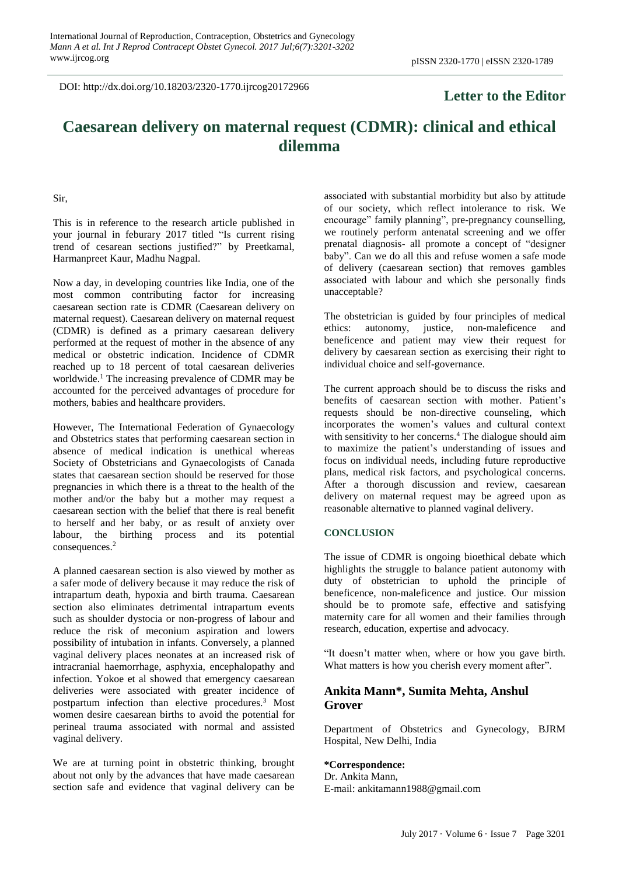DOI: http://dx.doi.org/10.18203/2320-1770.ijrcog20172966

# **Letter to the Editor**

# **Caesarean delivery on maternal request (CDMR): clinical and ethical dilemma**

Sir,

This is in reference to the research article published in your journal in feburary 2017 titled "Is current rising trend of cesarean sections justified?" by Preetkamal, Harmanpreet Kaur, Madhu Nagpal.

Now a day, in developing countries like India, one of the most common contributing factor for increasing caesarean section rate is CDMR (Caesarean delivery on maternal request). Caesarean delivery on maternal request (CDMR) is defined as a primary caesarean delivery performed at the request of mother in the absence of any medical or obstetric indication. Incidence of CDMR reached up to 18 percent of total caesarean deliveries worldwide.<sup>1</sup> The increasing prevalence of CDMR may be accounted for the perceived advantages of procedure for mothers, babies and healthcare providers.

However, The International Federation of Gynaecology and Obstetrics states that performing caesarean section in absence of medical indication is unethical whereas Society of Obstetricians and Gynaecologists of Canada states that caesarean section should be reserved for those pregnancies in which there is a threat to the health of the mother and/or the baby but a mother may request a caesarean section with the belief that there is real benefit to herself and her baby, or as result of anxiety over labour, the birthing process and its potential consequences.<sup>2</sup>

A planned caesarean section is also viewed by mother as a safer mode of delivery because it may reduce the risk of intrapartum death, hypoxia and birth trauma. Caesarean section also eliminates detrimental intrapartum events such as shoulder dystocia or non-progress of labour and reduce the risk of meconium aspiration and lowers possibility of intubation in infants. Conversely, a planned vaginal delivery places neonates at an increased risk of intracranial haemorrhage, asphyxia, encephalopathy and infection. Yokoe et al showed that emergency caesarean deliveries were associated with greater incidence of postpartum infection than elective procedures.<sup>3</sup> Most women desire caesarean births to avoid the potential for perineal trauma associated with normal and assisted vaginal delivery.

We are at turning point in obstetric thinking, brought about not only by the advances that have made caesarean section safe and evidence that vaginal delivery can be associated with substantial morbidity but also by attitude of our society, which reflect intolerance to risk. We encourage" family planning", pre-pregnancy counselling, we routinely perform antenatal screening and we offer prenatal diagnosis- all promote a concept of "designer baby". Can we do all this and refuse women a safe mode of delivery (caesarean section) that removes gambles associated with labour and which she personally finds unacceptable?

The obstetrician is guided by four principles of medical ethics: autonomy, justice, non-maleficence and beneficence and patient may view their request for delivery by caesarean section as exercising their right to individual choice and self-governance.

The current approach should be to discuss the risks and benefits of caesarean section with mother. Patient's requests should be non-directive counseling, which incorporates the women's values and cultural context with sensitivity to her concerns.<sup>4</sup> The dialogue should aim to maximize the patient's understanding of issues and focus on individual needs, including future reproductive plans, medical risk factors, and psychological concerns. After a thorough discussion and review, caesarean delivery on maternal request may be agreed upon as reasonable alternative to planned vaginal delivery.

### **CONCLUSION**

The issue of CDMR is ongoing bioethical debate which highlights the struggle to balance patient autonomy with duty of obstetrician to uphold the principle of beneficence, non-maleficence and justice. Our mission should be to promote safe, effective and satisfying maternity care for all women and their families through research, education, expertise and advocacy.

"It doesn't matter when, where or how you gave birth. What matters is how you cherish every moment after".

## **Ankita Mann\*, Sumita Mehta, Anshul Grover**

Department of Obstetrics and Gynecology, BJRM Hospital, New Delhi, India

# **\*Correspondence:**

Dr. Ankita Mann, E-mail: ankitamann1988@gmail.com